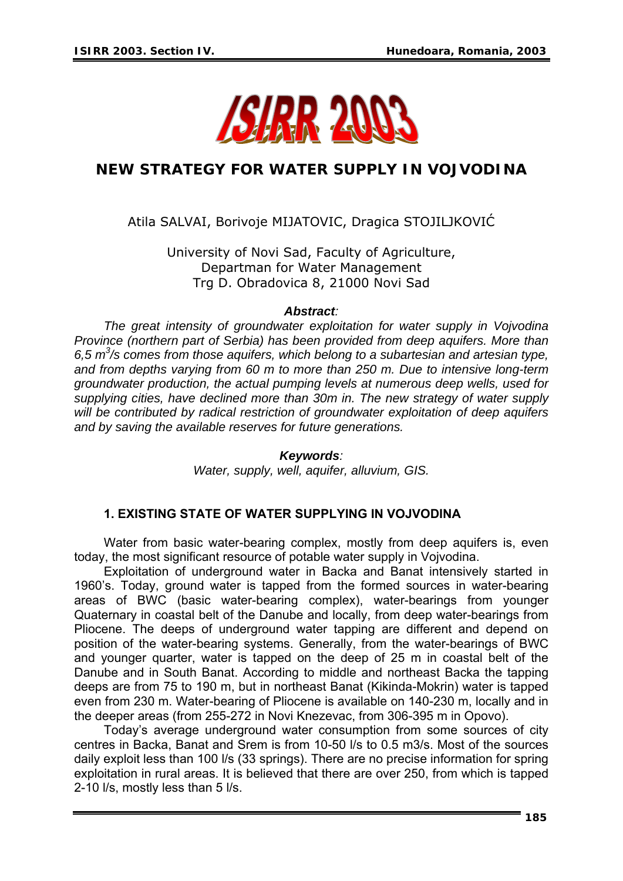

# **NEW STRATEGY FOR WATER SUPPLY IN VOJVODINA**

Atila SALVAI, Borivoje MIJATOVIC, Dragica STOJILJKOVIĆ

University of Novi Sad, Faculty of Agriculture, Departman for Water Management Trg D. Obradovica 8, 21000 Novi Sad

#### *Abstract:*

*The great intensity of groundwater exploitation for water supply in Vojvodina Province (northern part of Serbia) has been provided from deep aquifers. More than 6,5 m3 /s comes from those aquifers, which belong to a subartesian and artesian type, and from depths varying from 60 m to more than 250 m. Due to intensive long-term groundwater production, the actual pumping levels at numerous deep wells, used for supplying cities, have declined more than 30m in. The new strategy of water supply will be contributed by radical restriction of groundwater exploitation of deep aquifers and by saving the available reserves for future generations.* 

#### *Keywords:*

*Water, supply, well, aquifer, alluvium, GIS.*

## **1. EXISTING STATE OF WATER SUPPLYING IN VOJVODINA**

Water from basic water-bearing complex, mostly from deep aquifers is, even today, the most significant resource of potable water supply in Vojvodina.

Exploitation of underground water in Backa and Banat intensively started in 1960's. Today, ground water is tapped from the formed sources in water-bearing areas of BWC (basic water-bearing complex), water-bearings from younger Quaternary in coastal belt of the Danube and locally, from deep water-bearings from Pliocene. The deeps of underground water tapping are different and depend on position of the water-bearing systems. Generally, from the water-bearings of BWC and younger quarter, water is tapped on the deep of 25 m in coastal belt of the Danube and in South Banat. According to middle and northeast Backa the tapping deeps are from 75 to 190 m, but in northeast Banat (Kikinda-Mokrin) water is tapped even from 230 m. Water-bearing of Pliocene is available on 140-230 m, locally and in the deeper areas (from 255-272 in Novi Knezevac, from 306-395 m in Opovo).

Today's average underground water consumption from some sources of city centres in Backa, Banat and Srem is from 10-50 l/s to 0.5 m3/s. Most of the sources daily exploit less than 100 l/s (33 springs). There are no precise information for spring exploitation in rural areas. It is believed that there are over 250, from which is tapped 2-10 l/s, mostly less than 5 l/s.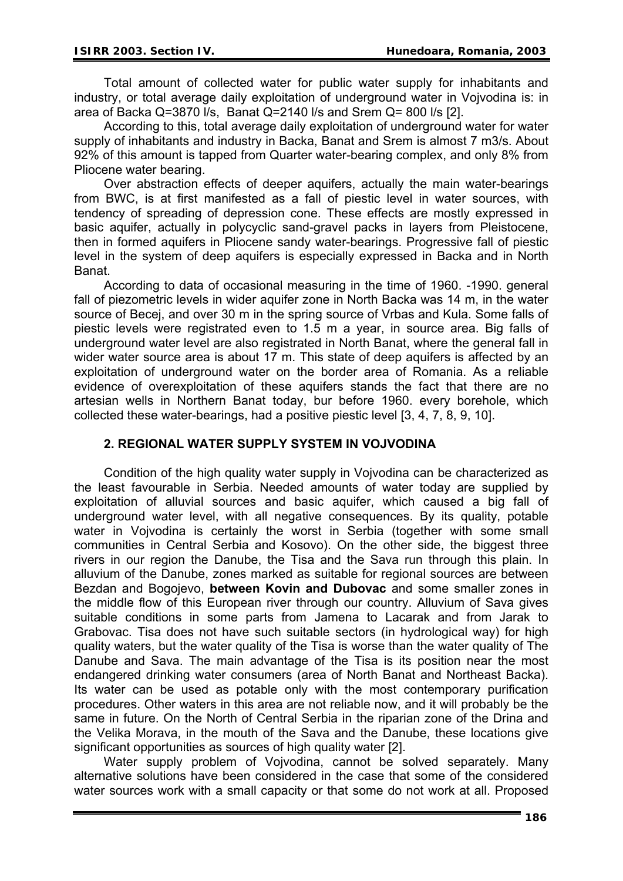Total amount of collected water for public water supply for inhabitants and industry, or total average daily exploitation of underground water in Vojvodina is: in area of Backa Q=3870 l/s, Banat Q=2140 l/s and Srem Q= 800 l/s [2].

According to this, total average daily exploitation of underground water for water supply of inhabitants and industry in Backa, Banat and Srem is almost 7 m3/s. About 92% of this amount is tapped from Quarter water-bearing complex, and only 8% from Pliocene water bearing.

Over abstraction effects of deeper aquifers, actually the main water-bearings from BWC, is at first manifested as a fall of piestic level in water sources, with tendency of spreading of depression cone. These effects are mostly expressed in basic aquifer, actually in polycyclic sand-gravel packs in layers from Pleistocene, then in formed aquifers in Pliocene sandy water-bearings. Progressive fall of piestic level in the system of deep aquifers is especially expressed in Backa and in North Banat.

According to data of occasional measuring in the time of 1960. -1990. general fall of piezometric levels in wider aquifer zone in North Backa was 14 m, in the water source of Becej, and over 30 m in the spring source of Vrbas and Kula. Some falls of piestic levels were registrated even to 1.5 m a year, in source area. Big falls of underground water level are also registrated in North Banat, where the general fall in wider water source area is about 17 m. This state of deep aquifers is affected by an exploitation of underground water on the border area of Romania. As a reliable evidence of overexploitation of these aquifers stands the fact that there are no artesian wells in Northern Banat today, bur before 1960. every borehole, which collected these water-bearings, had a positive piestic level [3, 4, 7, 8, 9, 10].

## **2. REGIONAL WATER SUPPLY SYSTEM IN VOJVODINA**

Condition of the high quality water supply in Vojvodina can be characterized as the least favourable in Serbia. Needed amounts of water today are supplied by exploitation of alluvial sources and basic aquifer, which caused a big fall of underground water level, with all negative consequences. By its quality, potable water in Vojvodina is certainly the worst in Serbia (together with some small communities in Central Serbia and Kosovo). On the other side, the biggest three rivers in our region the Danube, the Tisa and the Sava run through this plain. In alluvium of the Danube, zones marked as suitable for regional sources are between Bezdan and Bogojevo, **between Kovin and Dubovac** and some smaller zones in the middle flow of this European river through our country. Alluvium of Sava gives suitable conditions in some parts from Jamena to Lacarak and from Jarak to Grabovac. Tisa does not have such suitable sectors (in hydrological way) for high quality waters, but the water quality of the Tisa is worse than the water quality of The Danube and Sava. The main advantage of the Tisa is its position near the most endangered drinking water consumers (area of North Banat and Northeast Backa). Its water can be used as potable only with the most contemporary purification procedures. Other waters in this area are not reliable now, and it will probably be the same in future. On the North of Central Serbia in the riparian zone of the Drina and the Velika Morava, in the mouth of the Sava and the Danube, these locations give significant opportunities as sources of high quality water [2].

Water supply problem of Voivodina, cannot be solved separately. Many alternative solutions have been considered in the case that some of the considered water sources work with a small capacity or that some do not work at all. Proposed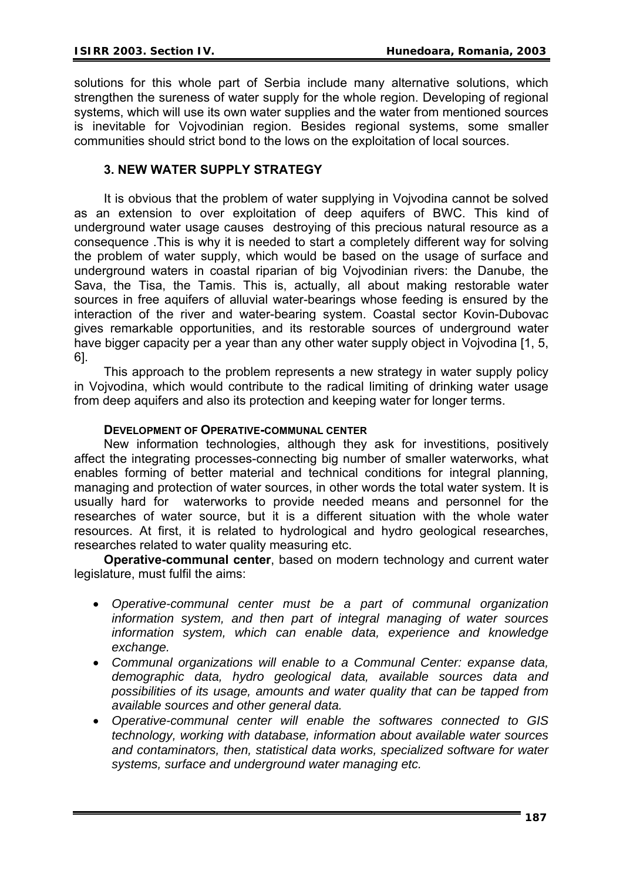solutions for this whole part of Serbia include many alternative solutions, which strengthen the sureness of water supply for the whole region. Developing of regional systems, which will use its own water supplies and the water from mentioned sources is inevitable for Vojvodinian region. Besides regional systems, some smaller communities should strict bond to the lows on the exploitation of local sources.

# **3. NEW WATER SUPPLY STRATEGY**

It is obvious that the problem of water supplying in Vojvodina cannot be solved as an extension to over exploitation of deep aquifers of BWC. This kind of underground water usage causes destroying of this precious natural resource as a consequence .This is why it is needed to start a completely different way for solving the problem of water supply, which would be based on the usage of surface and underground waters in coastal riparian of big Vojvodinian rivers: the Danube, the Sava, the Tisa, the Tamis. This is, actually, all about making restorable water sources in free aquifers of alluvial water-bearings whose feeding is ensured by the interaction of the river and water-bearing system. Coastal sector Kovin-Dubovac gives remarkable opportunities, and its restorable sources of underground water have bigger capacity per a year than any other water supply object in Vojvodina [1, 5, 6].

This approach to the problem represents a new strategy in water supply policy in Vojvodina, which would contribute to the radical limiting of drinking water usage from deep aquifers and also its protection and keeping water for longer terms.

#### **DEVELOPMENT OF OPERATIVE-COMMUNAL CENTER**

New information technologies, although they ask for investitions, positively affect the integrating processes-connecting big number of smaller waterworks, what enables forming of better material and technical conditions for integral planning, managing and protection of water sources, in other words the total water system. It is usually hard for waterworks to provide needed means and personnel for the researches of water source, but it is a different situation with the whole water resources. At first, it is related to hydrological and hydro geological researches, researches related to water quality measuring etc.

**Operative-communal center**, based on modern technology and current water legislature, must fulfil the aims:

- *Operative-communal center must be a part of communal organization information system, and then part of integral managing of water sources information system, which can enable data, experience and knowledge exchange.*
- *Communal organizations will enable to a Communal Center: expanse data, demographic data, hydro geological data, available sources data and possibilities of its usage, amounts and water quality that can be tapped from available sources and other general data.*
- *Operative-communal center will enable the softwares connected to GIS technology, working with database, information about available water sources and contaminators, then, statistical data works, specialized software for water systems, surface and underground water managing etc.*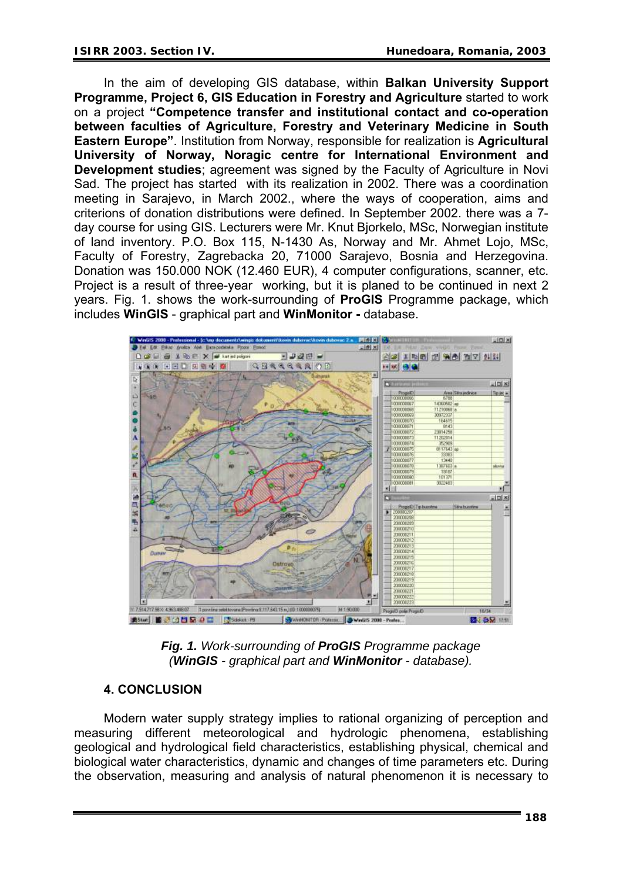In the aim of developing GIS database, within **Balkan University Support Programme, Project 6, GIS Education in Forestry and Agriculture** started to work on a project **"Competence transfer and institutional contact and co-operation between faculties of Agriculture, Forestry and Veterinary Medicine in South Eastern Europe"**. Institution from Norway, responsible for realization is **Agricultural University of Norway, Noragic centre for International Environment and Development studies**; agreement was signed by the Faculty of Agriculture in Novi Sad. The project has started with its realization in 2002. There was a coordination meeting in Sarajevo, in March 2002., where the ways of cooperation, aims and criterions of donation distributions were defined. In September 2002. there was a 7 day course for using GIS. Lecturers were Mr. Knut Bjorkelo, MSc, Norwegian institute of land inventory. P.O. Box 115, N-1430 As, Norway and Mr. Ahmet Lojo, MSc, Faculty of Forestry, Zagrebacka 20, 71000 Sarajevo, Bosnia and Herzegovina. Donation was 150.000 NOK (12.460 EUR), 4 computer configurations, scanner, etc. Project is a result of three-year working, but it is planed to be continued in next 2 years. Fig. 1. shows the work-surrounding of **ProGIS** Programme package, which includes **WinGIS** - graphical part and **WinMonitor -** database.



*Fig. 1. Work-surrounding of ProGIS Programme package (WinGIS - graphical part and WinMonitor - database).* 

# **4. CONCLUSION**

Modern water supply strategy implies to rational organizing of perception and measuring different meteorological and hydrologic phenomena, establishing geological and hydrological field characteristics, establishing physical, chemical and biological water characteristics, dynamic and changes of time parameters etc. During the observation, measuring and analysis of natural phenomenon it is necessary to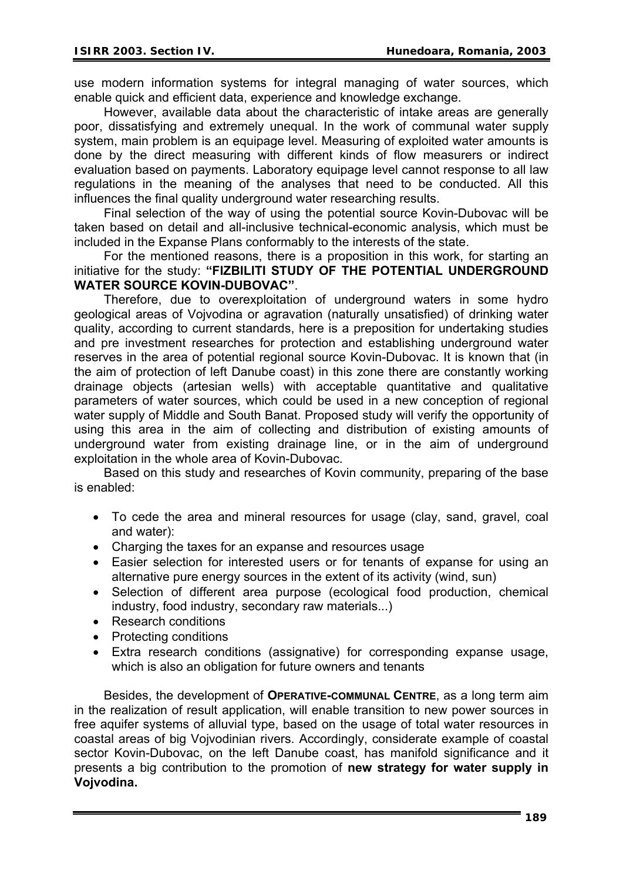use modern information systems for integral managing of water sources, which enable quick and efficient data, experience and knowledge exchange.

However, available data about the characteristic of intake areas are generally poor, dissatisfying and extremely unequal. In the work of communal water supply system, main problem is an equipage level. Measuring of exploited water amounts is done by the direct measuring with different kinds of flow measurers or indirect evaluation based on payments. Laboratory equipage level cannot response to all law regulations in the meaning of the analyses that need to be conducted. All this influences the final quality underground water researching results.

Final selection of the way of using the potential source Kovin-Dubovac will be taken based on detail and all-inclusive technical-economic analysis, which must be included in the Expanse Plans conformably to the interests of the state.

For the mentioned reasons, there is a proposition in this work, for starting an initiative for the study: **"FIZBILITI STUDY OF THE POTENTIAL UNDERGROUND WATER SOURCE KOVIN-DUBOVAC"**.

Therefore, due to overexploitation of underground waters in some hydro geological areas of Vojvodina or agravation (naturally unsatisfied) of drinking water quality, according to current standards, here is a preposition for undertaking studies and pre investment researches for protection and establishing underground water reserves in the area of potential regional source Kovin-Dubovac. It is known that (in the aim of protection of left Danube coast) in this zone there are constantly working drainage objects (artesian wells) with acceptable quantitative and qualitative parameters of water sources, which could be used in a new conception of regional water supply of Middle and South Banat. Proposed study will verify the opportunity of using this area in the aim of collecting and distribution of existing amounts of underground water from existing drainage line, or in the aim of underground exploitation in the whole area of Kovin-Dubovac.

Based on this study and researches of Kovin community, preparing of the base is enabled:

- To cede the area and mineral resources for usage (clay, sand, gravel, coal and water):
- Charging the taxes for an expanse and resources usage
- Easier selection for interested users or for tenants of expanse for using an alternative pure energy sources in the extent of its activity (wind, sun)
- Selection of different area purpose (ecological food production, chemical industry, food industry, secondary raw materials...)
- Research conditions
- Protecting conditions
- Extra research conditions (assignative) for corresponding expanse usage, which is also an obligation for future owners and tenants

Besides, the development of **OPERATIVE-COMMUNAL CENTRE**, as a long term aim in the realization of result application, will enable transition to new power sources in free aquifer systems of alluvial type, based on the usage of total water resources in coastal areas of big Vojvodinian rivers. Accordingly, considerate example of coastal sector Kovin-Dubovac, on the left Danube coast, has manifold significance and it presents a big contribution to the promotion of **new strategy for water supply in Vojvodina.**